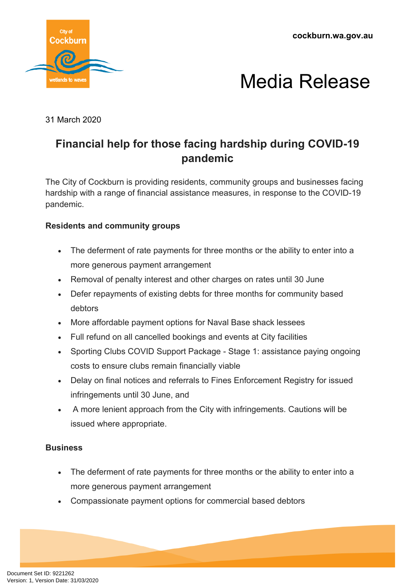**cockburn.wa.gov.au**





31 March 2020

## **Financial help for those facing hardship during COVID-19 pandemic**

The City of Cockburn is providing residents, community groups and businesses facing hardship with a range of financial assistance measures, in response to the COVID-19 pandemic.

### **Residents and community groups**

- The deferment of rate payments for three months or the ability to enter into a more generous payment arrangement
- Removal of penalty interest and other charges on rates until 30 June
- Defer repayments of existing debts for three months for community based debtors
- More affordable payment options for Naval Base shack lessees
- Full refund on all cancelled bookings and events at City facilities
- Sporting Clubs COVID Support Package Stage 1: assistance paying ongoing costs to ensure clubs remain financially viable
- Delay on final notices and referrals to Fines Enforcement Registry for issued infringements until 30 June, and
- A more lenient approach from the City with infringements. Cautions will be issued where appropriate.

#### **Business**

- The deferment of rate payments for three months or the ability to enter into a more generous payment arrangement
- Compassionate payment options for commercial based debtors